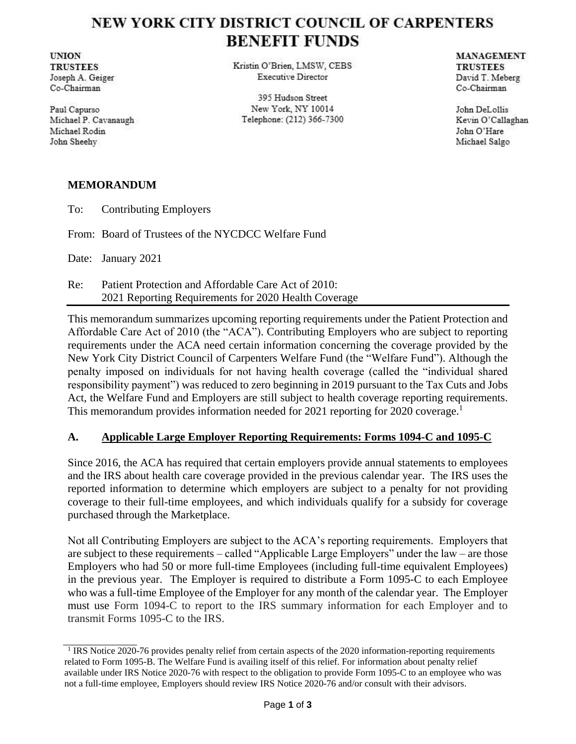# NEW YORK CITY DISTRICT COUNCIL OF CARPENTERS **BENEFIT FUNDS**

**UNION TRUSTEES** Joseph A. Geiger Co-Chairman

Paul Capurso Michael P. Cavanaugh Michael Rodin John Sheehy

Kristin O'Brien, LMSW, CEBS **Executive Director** 

395 Hudson Street New York, NY 10014 Telephone: (212) 366-7300 **MANAGEMENT TRUSTEES** David T. Meberg Co-Chairman

John DeLollis Kevin O'Callaghan John O'Hare Michael Salgo

### **MEMORANDUM**

To: Contributing Employers

From: Board of Trustees of the NYCDCC Welfare Fund

Date: January 2021

Re: Patient Protection and Affordable Care Act of 2010: 2021 Reporting Requirements for 2020 Health Coverage

This memorandum summarizes upcoming reporting requirements under the Patient Protection and Affordable Care Act of 2010 (the "ACA"). Contributing Employers who are subject to reporting requirements under the ACA need certain information concerning the coverage provided by the New York City District Council of Carpenters Welfare Fund (the "Welfare Fund"). Although the penalty imposed on individuals for not having health coverage (called the "individual shared responsibility payment") was reduced to zero beginning in 2019 pursuant to the Tax Cuts and Jobs Act, the Welfare Fund and Employers are still subject to health coverage reporting requirements. This memorandum provides information needed for 2021 reporting for 2020 coverage.<sup>1</sup>

# **A. Applicable Large Employer Reporting Requirements: Forms 1094-C and 1095-C**

Since 2016, the ACA has required that certain employers provide annual statements to employees and the IRS about health care coverage provided in the previous calendar year. The IRS uses the reported information to determine which employers are subject to a penalty for not providing coverage to their full-time employees, and which individuals qualify for a subsidy for coverage purchased through the Marketplace.

Not all Contributing Employers are subject to the ACA's reporting requirements. Employers that are subject to these requirements – called "Applicable Large Employers" under the law – are those Employers who had 50 or more full-time Employees (including full-time equivalent Employees) in the previous year. The Employer is required to distribute a Form 1095-C to each Employee who was a full-time Employee of the Employer for any month of the calendar year. The Employer must use Form 1094-C to report to the IRS summary information for each Employer and to transmit Forms 1095-C to the IRS.

<sup>&</sup>lt;sup>1</sup> IRS Notice 2020-76 provides penalty relief from certain aspects of the 2020 information-reporting requirements related to Form 1095-B. The Welfare Fund is availing itself of this relief. For information about penalty relief available under IRS Notice 2020-76 with respect to the obligation to provide Form 1095-C to an employee who was not a full-time employee, Employers should review IRS Notice 2020-76 and/or consult with their advisors.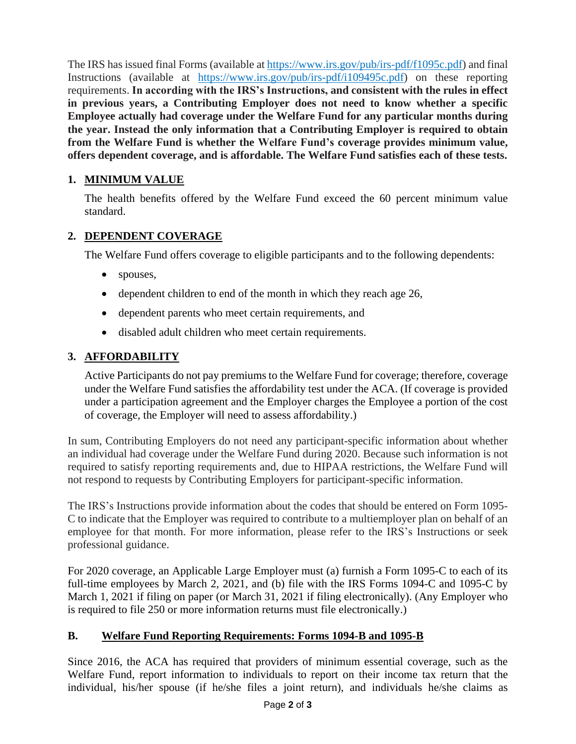The IRS has issued final Forms (available at https://www.irs.gov/pub/irs-pdf/f1095c.pdf) and final Instructions (available at https://www.irs.gov/pub/irs-pdf/i109495c.pdf) on these reporting requirements. **In according with the IRS's Instructions, and consistent with the rules in effect in previous years, a Contributing Employer does not need to know whether a specific Employee actually had coverage under the Welfare Fund for any particular months during the year. Instead the only information that a Contributing Employer is required to obtain from the Welfare Fund is whether the Welfare Fund's coverage provides minimum value, offers dependent coverage, and is affordable. The Welfare Fund satisfies each of these tests.** 

# **1. MINIMUM VALUE**

The health benefits offered by the Welfare Fund exceed the 60 percent minimum value standard.

# **2. DEPENDENT COVERAGE**

The Welfare Fund offers coverage to eligible participants and to the following dependents:

- spouses,
- dependent children to end of the month in which they reach age 26,
- dependent parents who meet certain requirements, and
- disabled adult children who meet certain requirements.

# **3. AFFORDABILITY**

Active Participants do not pay premiums to the Welfare Fund for coverage; therefore, coverage under the Welfare Fund satisfies the affordability test under the ACA. (If coverage is provided under a participation agreement and the Employer charges the Employee a portion of the cost of coverage, the Employer will need to assess affordability.)

In sum, Contributing Employers do not need any participant-specific information about whether an individual had coverage under the Welfare Fund during 2020. Because such information is not required to satisfy reporting requirements and, due to HIPAA restrictions, the Welfare Fund will not respond to requests by Contributing Employers for participant-specific information.

The IRS's Instructions provide information about the codes that should be entered on Form 1095- C to indicate that the Employer was required to contribute to a multiemployer plan on behalf of an employee for that month. For more information, please refer to the IRS's Instructions or seek professional guidance.

For 2020 coverage, an Applicable Large Employer must (a) furnish a Form 1095-C to each of its full-time employees by March 2, 2021, and (b) file with the IRS Forms 1094-C and 1095-C by March 1, 2021 if filing on paper (or March 31, 2021 if filing electronically). (Any Employer who is required to file 250 or more information returns must file electronically.)

#### **B. Welfare Fund Reporting Requirements: Forms 1094-B and 1095-B**

Since 2016, the ACA has required that providers of minimum essential coverage, such as the Welfare Fund, report information to individuals to report on their income tax return that the individual, his/her spouse (if he/she files a joint return), and individuals he/she claims as